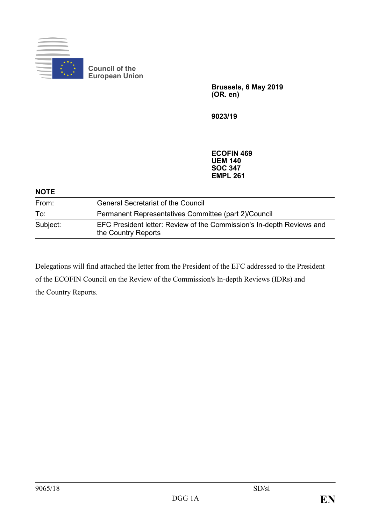

**Brussels, 6 May 2019 (OR. en)**

**9023/19**

**ECOFIN 469 UEM 140 SOC 347 EMPL 261**

| <b>NOTE</b> |                                                                                              |
|-------------|----------------------------------------------------------------------------------------------|
| From:       | <b>General Secretariat of the Council</b>                                                    |
| To:         | Permanent Representatives Committee (part 2)/Council                                         |
| Subject:    | EFC President letter: Review of the Commission's In-depth Reviews and<br>the Country Reports |

Delegations will find attached the letter from the President of the EFC addressed to the President of the ECOFIN Council on the Review of the Commission's In-depth Reviews (IDRs) and the Country Reports.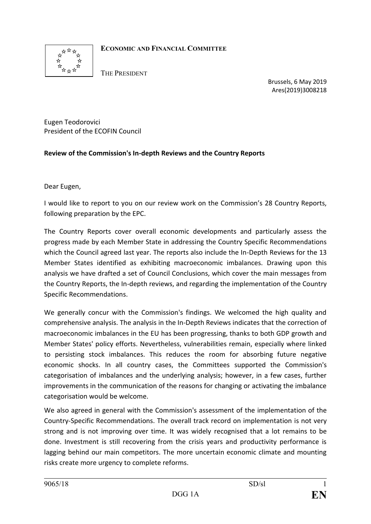

# **ECONOMIC AND FINANCIAL COMMITTEE**

THE PRESIDENT

Brussels, 6 May 2019 [Ares\(2019\)3008218](https://webgate.ec.testa.eu/Ares/document/show.do?documentId=080166e5c3d194a7×tamp=1557141255956)

Eugen Teodorovici President of the ECOFIN Council

# **Review of the Commission's In-depth Reviews and the Country Reports**

Dear Eugen,

I would like to report to you on our review work on the Commission's 28 Country Reports, following preparation by the EPC.

The Country Reports cover overall economic developments and particularly assess the progress made by each Member State in addressing the Country Specific Recommendations which the Council agreed last year. The reports also include the In-Depth Reviews for the 13 Member States identified as exhibiting macroeconomic imbalances. Drawing upon this analysis we have drafted a set of Council Conclusions, which cover the main messages from the Country Reports, the In-depth reviews, and regarding the implementation of the Country Specific Recommendations.

We generally concur with the Commission's findings. We welcomed the high quality and comprehensive analysis. The analysis in the In-Depth Reviews indicates that the correction of macroeconomic imbalances in the EU has been progressing, thanks to both GDP growth and Member States' policy efforts. Nevertheless, vulnerabilities remain, especially where linked to persisting stock imbalances. This reduces the room for absorbing future negative economic shocks. In all country cases, the Committees supported the Commission's categorisation of imbalances and the underlying analysis; however, in a few cases, further improvements in the communication of the reasons for changing or activating the imbalance categorisation would be welcome.

We also agreed in general with the Commission's assessment of the implementation of the Country-Specific Recommendations. The overall track record on implementation is not very strong and is not improving over time. It was widely recognised that a lot remains to be done. Investment is still recovering from the crisis years and productivity performance is lagging behind our main competitors. The more uncertain economic climate and mounting risks create more urgency to complete reforms.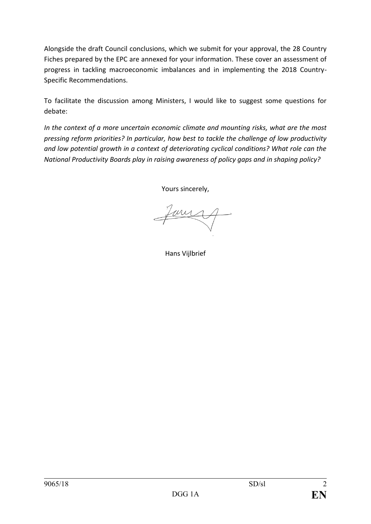Alongside the draft Council conclusions, which we submit for your approval, the 28 Country Fiches prepared by the EPC are annexed for your information. These cover an assessment of progress in tackling macroeconomic imbalances and in implementing the 2018 Country-Specific Recommendations.

To facilitate the discussion among Ministers, I would like to suggest some questions for debate:

*In the context of a more uncertain economic climate and mounting risks, what are the most pressing reform priorities? In particular, how best to tackle the challenge of low productivity and low potential growth in a context of deteriorating cyclical conditions? What role can the National Productivity Boards play in raising awareness of policy gaps and in shaping policy?* 

Yours sincerely,

my

Hans Vijlbrief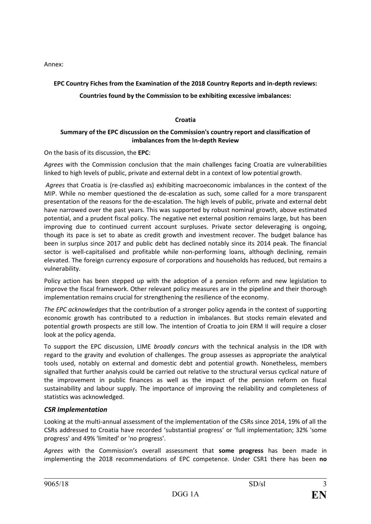Annex:

# **EPC Country Fiches from the Examination of the 2018 Country Reports and in-depth reviews:**

# **Countries found by the Commission to be exhibiting excessive imbalances:**

### **Croatia**

# **Summary of the EPC discussion on the Commission's country report and classification of imbalances from the In-depth Review**

On the basis of its discussion, the **EPC**:

*Agrees* with the Commission conclusion that the main challenges facing Croatia are vulnerabilities linked to high levels of public, private and external debt in a context of low potential growth.

*Agrees* that Croatia is (re-classfied as) exhibiting macroeconomic imbalances in the context of the MIP. While no member questioned the de-escalation as such, some called for a more transparent presentation of the reasons for the de-escalation. The high levels of public, private and external debt have narrowed over the past years. This was supported by robust nominal growth, above estimated potential, and a prudent fiscal policy. The negative net external position remains large, but has been improving due to continued current account surpluses. Private sector deleveraging is ongoing, though its pace is set to abate as credit growth and investment recover. The budget balance has been in surplus since 2017 and public debt has declined notably since its 2014 peak. The financial sector is well-capitalised and profitable while non-performing loans, although declining, remain elevated. The foreign currency exposure of corporations and households has reduced, but remains a vulnerability.

Policy action has been stepped up with the adoption of a pension reform and new legislation to improve the fiscal framework. Other relevant policy measures are in the pipeline and their thorough implementation remains crucial for strengthening the resilience of the economy.

*The EPC acknowledges* that the contribution of a stronger policy agenda in the context of supporting economic growth has contributed to a reduction in imbalances. But stocks remain elevated and potential growth prospects are still low. The intention of Croatia to join ERM II will require a closer look at the policy agenda.

To support the EPC discussion, LIME *broadly concurs* with the technical analysis in the IDR with regard to the gravity and evolution of challenges. The group assesses as appropriate the analytical tools used, notably on external and domestic debt and potential growth. Nonetheless, members signalled that further analysis could be carried out relative to the structural versus cyclical nature of the improvement in public finances as well as the impact of the pension reform on fiscal sustainability and labour supply. The importance of improving the reliability and completeness of statistics was acknowledged.

# *CSR Implementation*

Looking at the multi-annual assessment of the implementation of the CSRs since 2014, 19% of all the CSRs addressed to Croatia have recorded 'substantial progress' or 'full implementation; 32% 'some progress' and 49% 'limited' or 'no progress'.

*Agrees* with the Commission's overall assessment that **some progress** has been made in implementing the 2018 recommendations of EPC competence. Under CSR1 there has been **no**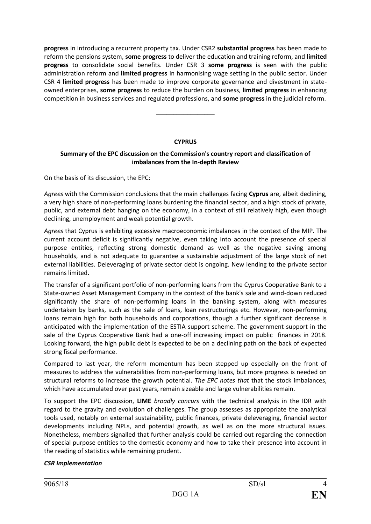**progress** in introducing a recurrent property tax. Under CSR2 **substantial progress** has been made to reform the pensions system, **some progress** to deliver the education and training reform, and **limited progress** to consolidate social benefits. Under CSR 3 **some progress** is seen with the public administration reform and **limited progress** in harmonising wage setting in the public sector. Under CSR 4 **limited progress** has been made to improve corporate governance and divestment in stateowned enterprises, **some progress** to reduce the burden on business, **limited progress** in enhancing competition in business services and regulated professions, and **some progress** in the judicial reform.

#### **CYPRUS**

–––––––––––––––––

# **Summary of the EPC discussion on the Commission's country report and classification of imbalances from the In-depth Review**

On the basis of its discussion, the EPC:

*Agrees* with the Commission conclusions that the main challenges facing **Cyprus** are, albeit declining, a very high share of non-performing loans burdening the financial sector, and a high stock of private, public, and external debt hanging on the economy, in a context of still relatively high, even though declining, unemployment and weak potential growth.

*Agrees* that Cyprus is exhibiting excessive macroeconomic imbalances in the context of the MIP. The current account deficit is significantly negative, even taking into account the presence of special purpose entities, reflecting strong domestic demand as well as the negative saving among households, and is not adequate to guarantee a sustainable adjustment of the large stock of net external liabilities. Deleveraging of private sector debt is ongoing. New lending to the private sector remains limited.

The transfer of a significant portfolio of non-performing loans from the Cyprus Cooperative Bank to a State-owned Asset Management Company in the context of the bank's sale and wind-down reduced significantly the share of non-performing loans in the banking system, along with measures undertaken by banks, such as the sale of loans, loan restructurings etc. However, non-performing loans remain high for both households and corporations, though a further significant decrease is anticipated with the implementation of the ESTIA support scheme. The government support in the sale of the Cyprus Cooperative Bank had a one-off increasing impact on public finances in 2018. Looking forward, the high public debt is expected to be on a declining path on the back of expected strong fiscal performance.

Compared to last year, the reform momentum has been stepped up especially on the front of measures to address the vulnerabilities from non-performing loans, but more progress is needed on structural reforms to increase the growth potential. *The EPC notes that* that the stock imbalances, which have accumulated over past years, remain sizeable and large vulnerabilities remain.

To support the EPC discussion, **LIME** *broadly concurs* with the technical analysis in the IDR with regard to the gravity and evolution of challenges. The group assesses as appropriate the analytical tools used, notably on external sustainability, public finances, private deleveraging, financial sector developments including NPLs, and potential growth, as well as on the more structural issues. Nonetheless, members signalled that further analysis could be carried out regarding the connection of special purpose entities to the domestic economy and how to take their presence into account in the reading of statistics while remaining prudent.

# *CSR Implementation*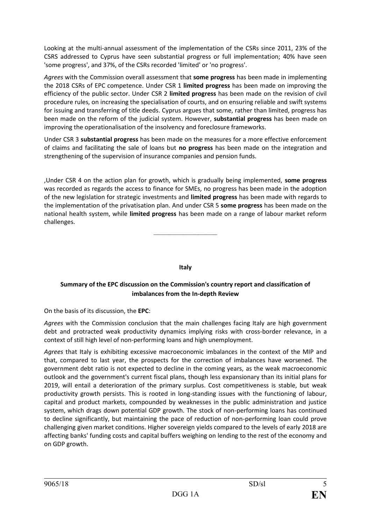Looking at the multi-annual assessment of the implementation of the CSRs since 2011, 23% of the CSRS addressed to Cyprus have seen substantial progress or full implementation; 40% have seen 'some progress', and 37%, of the CSRs recorded 'limited' or 'no progress'.

*Agrees* with the Commission overall assessment that **some progress** has been made in implementing the 2018 CSRs of EPC competence. Under CSR 1 **limited progress** has been made on improving the efficiency of the public sector. Under CSR 2 **limited progress** has been made on the revision of civil procedure rules, on increasing the specialisation of courts, and on ensuring reliable and swift systems for issuing and transferring of title deeds. Cyprus argues that some, rather than limited, progress has been made on the reform of the judicial system. However, **substantial progress** has been made on improving the operationalisation of the insolvency and foreclosure frameworks.

Under CSR 3 **substantial progress** has been made on the measures for a more effective enforcement of claims and facilitating the sale of loans but **no progress** has been made on the integration and strengthening of the supervision of insurance companies and pension funds.

,Under CSR 4 on the action plan for growth, which is gradually being implemented, **some progress** was recorded as regards the access to finance for SMEs, no progress has been made in the adoption of the new legislation for strategic investments and **limited progress** has been made with regards to the implementation of the privatisation plan. And under CSR 5 **some progress** has been made on the national health system, while **limited progress** has been made on a range of labour market reform challenges.

**Italy**

–––––––––––––––––

# **Summary of the EPC discussion on the Commission's country report and classification of imbalances from the In-depth Review**

On the basis of its discussion, the **EPC**:

*Agrees* with the Commission conclusion that the main challenges facing Italy are high government debt and protracted weak productivity dynamics implying risks with cross-border relevance, in a context of still high level of non-performing loans and high unemployment.

*Agrees* that Italy is exhibiting excessive macroeconomic imbalances in the context of the MIP and that, compared to last year, the prospects for the correction of imbalances have worsened. The government debt ratio is not expected to decline in the coming years, as the weak macroeconomic outlook and the government's current fiscal plans, though less expansionary than its initial plans for 2019, will entail a deterioration of the primary surplus. Cost competitiveness is stable, but weak productivity growth persists. This is rooted in long-standing issues with the functioning of labour, capital and product markets, compounded by weaknesses in the public administration and justice system, which drags down potential GDP growth. The stock of non-performing loans has continued to decline significantly, but maintaining the pace of reduction of non-performing loan could prove challenging given market conditions. Higher sovereign yields compared to the levels of early 2018 are affecting banks' funding costs and capital buffers weighing on lending to the rest of the economy and on GDP growth.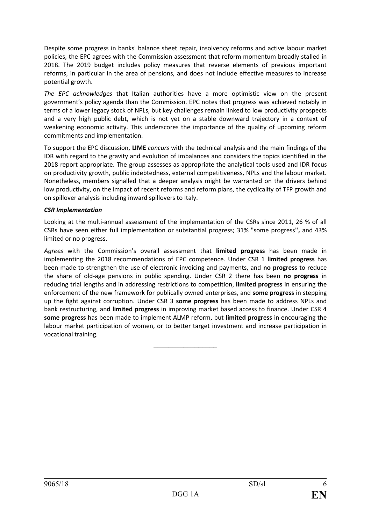Despite some progress in banks' balance sheet repair, insolvency reforms and active labour market policies, the EPC agrees with the Commission assessment that reform momentum broadly stalled in 2018. The 2019 budget includes policy measures that reverse elements of previous important reforms, in particular in the area of pensions, and does not include effective measures to increase potential growth.

*The EPC acknowledges* that Italian authorities have a more optimistic view on the present government's policy agenda than the Commission. EPC notes that progress was achieved notably in terms of a lower legacy stock of NPLs, but key challenges remain linked to low productivity prospects and a very high public debt, which is not yet on a stable downward trajectory in a context of weakening economic activity. This underscores the importance of the quality of upcoming reform commitments and implementation.

To support the EPC discussion, **LIME** *concurs* with the technical analysis and the main findings of the IDR with regard to the gravity and evolution of imbalances and considers the topics identified in the 2018 report appropriate. The group assesses as appropriate the analytical tools used and IDR focus on productivity growth, public indebtedness, external competitiveness, NPLs and the labour market. Nonetheless, members signalled that a deeper analysis might be warranted on the drivers behind low productivity, on the impact of recent reforms and reform plans, the cyclicality of TFP growth and on spillover analysis including inward spillovers to Italy.

#### *CSR Implementation*

Looking at the multi-annual assessment of the implementation of the CSRs since 2011, 26 % of all CSRs have seen either full implementation or substantial progress; 31% "some progress**",** and 43% limited or no progress.

*Agrees* with the Commission's overall assessment that **limited progress** has been made in implementing the 2018 recommendations of EPC competence. Under CSR 1 **limited progress** has been made to strengthen the use of electronic invoicing and payments, and **no progress** to reduce the share of old-age pensions in public spending. Under CSR 2 there has been **no progress** in reducing trial lengths and in addressing restrictions to competition, **limited progress** in ensuring the enforcement of the new framework for publically owned enterprises, and **some progress** in stepping up the fight against corruption. Under CSR 3 **some progress** has been made to address NPLs and bank restructuring, an**d limited progress** in improving market based access to finance. Under CSR 4 **some progress** has been made to implement ALMP reform, but **limited progress** in encouraging the labour market participation of women, or to better target investment and increase participation in vocational training.

–––––––––––––––––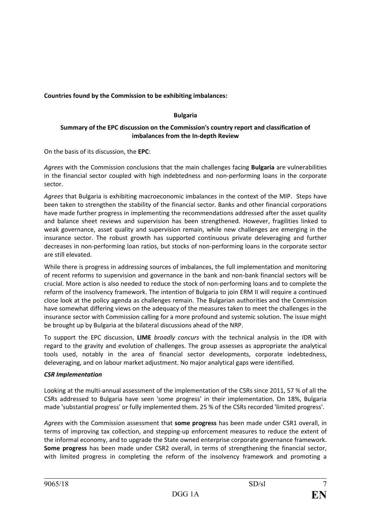**Countries found by the Commission to be exhibiting imbalances:**

# **Bulgaria**

# **Summary of the EPC discussion on the Commission's country report and classification of imbalances from the In-depth Review**

On the basis of its discussion, the **EPC**:

*Agrees* with the Commission conclusions that the main challenges facing **Bulgaria** are vulnerabilities in the financial sector coupled with high indebtedness and non-performing loans in the corporate sector.

*Agrees* that Bulgaria is exhibiting macroeconomic imbalances in the context of the MIP. Steps have been taken to strengthen the stability of the financial sector. Banks and other financial corporations have made further progress in implementing the recommendations addressed after the asset quality and balance sheet reviews and supervision has been strengthened. However, fragilities linked to weak governance, asset quality and supervision remain, while new challenges are emerging in the insurance sector. The robust growth has supported continuous private deleveraging and further decreases in non-performing loan ratios, but stocks of non-performing loans in the corporate sector are still elevated.

While there is progress in addressing sources of imbalances, the full implementation and monitoring of recent reforms to supervision and governance in the bank and non-bank financial sectors will be crucial. More action is also needed to reduce the stock of non-performing loans and to complete the reform of the insolvency framework. The intention of Bulgaria to join ERM II will require a continued close look at the policy agenda as challenges remain. The Bulgarian authorities and the Commission have somewhat differing views on the adequacy of the measures taken to meet the challenges in the insurance sector with Commission calling for a more profound and systemic solution. The issue might be brought up by Bulgaria at the bilateral discussions ahead of the NRP.

To support the EPC discussion, **LIME** *broadly concurs* with the technical analysis in the IDR with regard to the gravity and evolution of challenges. The group assesses as appropriate the analytical tools used, notably in the area of financial sector developments, corporate indebtedness, deleveraging, and on labour market adjustment. No major analytical gaps were identified.

# *CSR Implementation*

Looking at the multi-annual assessment of the implementation of the CSRs since 2011, 57 % of all the CSRs addressed to Bulgaria have seen 'some progress' in their implementation. On 18%, Bulgaria made 'substantial progress' or fully implemented them. 25 % of the CSRs recorded 'limited progress'.

*Agrees* with the Commission assessment that **some progress** has been made under CSR1 overall, in terms of improving tax collection, and stepping-up enforcement measures to reduce the extent of the informal economy, and to upgrade the State owned enterprise corporate governance framework. **Some progress** has been made under CSR2 overall, in terms of strengthening the financial sector, with limited progress in completing the reform of the insolvency framework and promoting a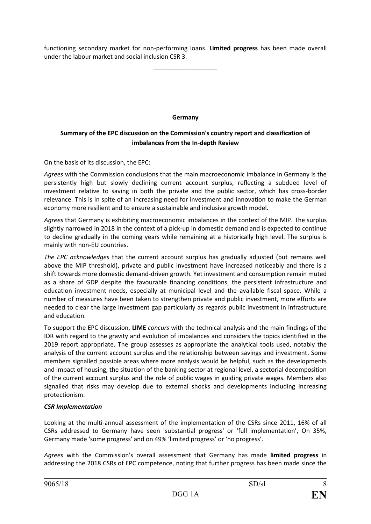functioning secondary market for non-performing loans. **Limited progress** has been made overall under the labour market and social inclusion CSR 3.

–––––––––––––––––

**Germany**

# **Summary of the EPC discussion on the Commission's country report and classification of imbalances from the In-depth Review**

On the basis of its discussion, the EPC:

*Agrees* with the Commission conclusions that the main macroeconomic imbalance in Germany is the persistently high but slowly declining current account surplus, reflecting a subdued level of investment relative to saving in both the private and the public sector, which has cross-border relevance. This is in spite of an increasing need for investment and innovation to make the German economy more resilient and to ensure a sustainable and inclusive growth model.

*Agrees* that Germany is exhibiting macroeconomic imbalances in the context of the MIP. The surplus slightly narrowed in 2018 in the context of a pick-up in domestic demand and is expected to continue to decline gradually in the coming years while remaining at a historically high level. The surplus is mainly with non-EU countries.

*The EPC acknowledges* that the current account surplus has gradually adjusted (but remains well above the MIP threshold), private and public investment have increased noticeably and there is a shift towards more domestic demand-driven growth. Yet investment and consumption remain muted as a share of GDP despite the favourable financing conditions, the persistent infrastructure and education investment needs, especially at municipal level and the available fiscal space. While a number of measures have been taken to strengthen private and public investment, more efforts are needed to clear the large investment gap particularly as regards public investment in infrastructure and education.

To support the EPC discussion, **LIME** *concurs* with the technical analysis and the main findings of the IDR with regard to the gravity and evolution of imbalances and considers the topics identified in the 2019 report appropriate. The group assesses as appropriate the analytical tools used, notably the analysis of the current account surplus and the relationship between savings and investment. Some members signalled possible areas where more analysis would be helpful, such as the developments and impact of housing, the situation of the banking sector at regional level, a sectorial decomposition of the current account surplus and the role of public wages in guiding private wages. Members also signalled that risks may develop due to external shocks and developments including increasing protectionism.

#### *CSR Implementation*

Looking at the multi-annual assessment of the implementation of the CSRs since 2011, 16% of all CSRs addressed to Germany have seen 'substantial progress' or 'full implementation', On 35%, Germany made 'some progress' and on 49% 'limited progress' or 'no progress'.

*Agrees* with the Commission's overall assessment that Germany has made **limited progress** in addressing the 2018 CSRs of EPC competence, noting that further progress has been made since the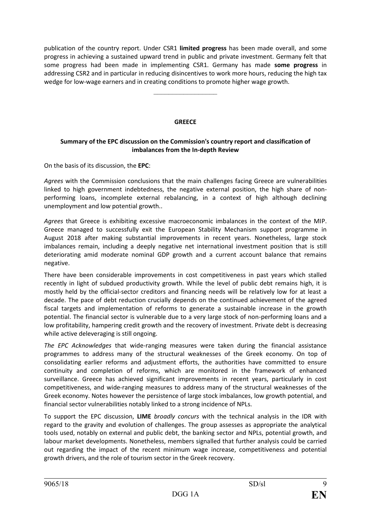publication of the country report. Under CSR1 **limited progress** has been made overall, and some progress in achieving a sustained upward trend in public and private investment. Germany felt that some progress had been made in implementing CSR1. Germany has made **some progress** in addressing CSR2 and in particular in reducing disincentives to work more hours, reducing the high tax wedge for low-wage earners and in creating conditions to promote higher wage growth.

#### **GREECE**

–––––––––––––––––

#### **Summary of the EPC discussion on the Commission's country report and classification of imbalances from the In-depth Review**

On the basis of its discussion, the **EPC**:

*Agrees* with the Commission conclusions that the main challenges facing Greece are vulnerabilities linked to high government indebtedness, the negative external position, the high share of nonperforming loans, incomplete external rebalancing, in a context of high although declining unemployment and low potential growth..

*Agrees* that Greece is exhibiting excessive macroeconomic imbalances in the context of the MIP. Greece managed to successfully exit the European Stability Mechanism support programme in August 2018 after making substantial improvements in recent years. Nonetheless, large stock imbalances remain, including a deeply negative net international investment position that is still deteriorating amid moderate nominal GDP growth and a current account balance that remains negative.

There have been considerable improvements in cost competitiveness in past years which stalled recently in light of subdued productivity growth. While the level of public debt remains high, it is mostly held by the official-sector creditors and financing needs will be relatively low for at least a decade. The pace of debt reduction crucially depends on the continued achievement of the agreed fiscal targets and implementation of reforms to generate a sustainable increase in the growth potential. The financial sector is vulnerable due to a very large stock of non-performing loans and a low profitability, hampering credit growth and the recovery of investment. Private debt is decreasing while active deleveraging is still ongoing.

*The EPC Acknowledges* that wide-ranging measures were taken during the financial assistance programmes to address many of the structural weaknesses of the Greek economy. On top of consolidating earlier reforms and adjustment efforts, the authorities have committed to ensure continuity and completion of reforms, which are monitored in the framework of enhanced surveillance. Greece has achieved significant improvements in recent years, particularly in cost competitiveness, and wide-ranging measures to address many of the structural weaknesses of the Greek economy. Notes however the persistence of large stock imbalances, low growth potential, and financial sector vulnerabilities notably linked to a strong incidence of NPLs.

To support the EPC discussion, **LIME** *broadly concurs* with the technical analysis in the IDR with regard to the gravity and evolution of challenges. The group assesses as appropriate the analytical tools used, notably on external and public debt, the banking sector and NPLs, potential growth, and labour market developments. Nonetheless, members signalled that further analysis could be carried out regarding the impact of the recent minimum wage increase, competitiveness and potential growth drivers, and the role of tourism sector in the Greek recovery.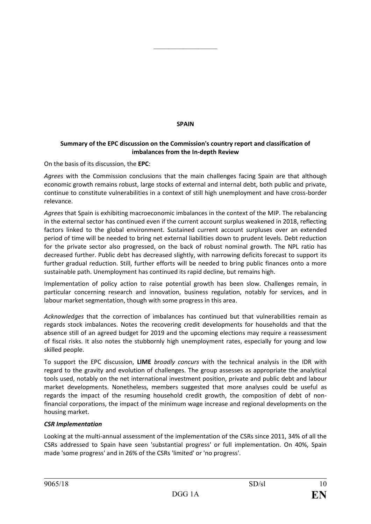# **SPAIN**

–––––––––––––––––

# **Summary of the EPC discussion on the Commission's country report and classification of imbalances from the In-depth Review**

On the basis of its discussion, the **EPC**:

*Agrees* with the Commission conclusions that the main challenges facing Spain are that although economic growth remains robust, large stocks of external and internal debt, both public and private, continue to constitute vulnerabilities in a context of still high unemployment and have cross-border relevance.

*Agrees* that Spain is exhibiting macroeconomic imbalances in the context of the MIP. The rebalancing in the external sector has continued even if the current account surplus weakened in 2018, reflecting factors linked to the global environment. Sustained current account surpluses over an extended period of time will be needed to bring net external liabilities down to prudent levels. Debt reduction for the private sector also progressed, on the back of robust nominal growth. The NPL ratio has decreased further. Public debt has decreased slightly, with narrowing deficits forecast to support its further gradual reduction. Still, further efforts will be needed to bring public finances onto a more sustainable path. Unemployment has continued its rapid decline, but remains high.

Implementation of policy action to raise potential growth has been slow. Challenges remain, in particular concerning research and innovation, business regulation, notably for services, and in labour market segmentation, though with some progress in this area.

*Acknowledges* that the correction of imbalances has continued but that vulnerabilities remain as regards stock imbalances. Notes the recovering credit developments for households and that the absence still of an agreed budget for 2019 and the upcoming elections may require a reassessment of fiscal risks. It also notes the stubbornly high unemployment rates, especially for young and low skilled people.

To support the EPC discussion, **LIME** *broadly concurs* with the technical analysis in the IDR with regard to the gravity and evolution of challenges. The group assesses as appropriate the analytical tools used, notably on the net international investment position, private and public debt and labour market developments. Nonetheless, members suggested that more analyses could be useful as regards the impact of the resuming household credit growth, the composition of debt of nonfinancial corporations, the impact of the minimum wage increase and regional developments on the housing market.

#### *CSR Implementation*

Looking at the multi-annual assessment of the implementation of the CSRs since 2011, 34% of all the CSRs addressed to Spain have seen 'substantial progress' or full implementation. On 40%, Spain made 'some progress' and in 26% of the CSRs 'limited' or 'no progress'.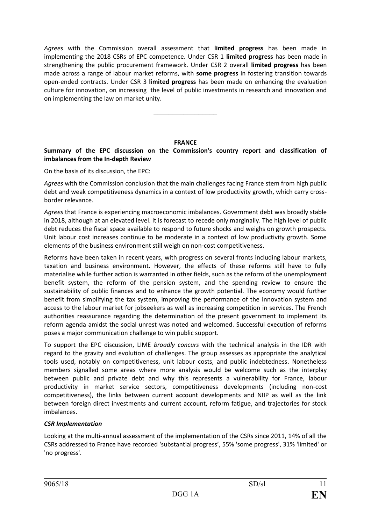*Agrees* with the Commission overall assessment that **limited progress** has been made in implementing the 2018 CSRs of EPC competence. Under CSR 1 **limited progress** has been made in strengthening the public procurement framework. Under CSR 2 overall **limited progress** has been made across a range of labour market reforms, with **some progress** in fostering transition towards open-ended contracts. Under CSR 3 **limited progress** has been made on enhancing the evaluation culture for innovation, on increasing the level of public investments in research and innovation and on implementing the law on market unity.

# **FRANCE**

–––––––––––––––––

# **Summary of the EPC discussion on the Commission's country report and classification of imbalances from the In-depth Review**

On the basis of its discussion, the EPC:

*Agrees* with the Commission conclusion that the main challenges facing France stem from high public debt and weak competitiveness dynamics in a context of low productivity growth, which carry crossborder relevance.

*Agrees* that France is experiencing macroeconomic imbalances. Government debt was broadly stable in 2018, although at an elevated level. It is forecast to recede only marginally. The high level of public debt reduces the fiscal space available to respond to future shocks and weighs on growth prospects. Unit labour cost increases continue to be moderate in a context of low productivity growth. Some elements of the business environment still weigh on non-cost competitiveness.

Reforms have been taken in recent years, with progress on several fronts including labour markets, taxation and business environment. However, the effects of these reforms still have to fully materialise while further action is warranted in other fields, such as the reform of the unemployment benefit system, the reform of the pension system, and the spending review to ensure the sustainability of public finances and to enhance the growth potential. The economy would further benefit from simplifying the tax system, improving the performance of the innovation system and access to the labour market for jobseekers as well as increasing competition in services. The French authorities reassurance regarding the determination of the present government to implement its reform agenda amidst the social unrest was noted and welcomed. Successful execution of reforms poses a major communication challenge to win public support.

To support the EPC discussion, LIME *broadly concurs* with the technical analysis in the IDR with regard to the gravity and evolution of challenges. The group assesses as appropriate the analytical tools used, notably on competitiveness, unit labour costs, and public indebtedness. Nonetheless members signalled some areas where more analysis would be welcome such as the interplay between public and private debt and why this represents a vulnerability for France, labour productivity in market service sectors, competitiveness developments (including non-cost competitiveness), the links between current account developments and NIIP as well as the link between foreign direct investments and current account, reform fatigue, and trajectories for stock imbalances.

# *CSR Implementation*

Looking at the multi-annual assessment of the implementation of the CSRs since 2011, 14% of all the CSRs addressed to France have recorded 'substantial progress', 55% 'some progress', 31% 'limited' or 'no progress'.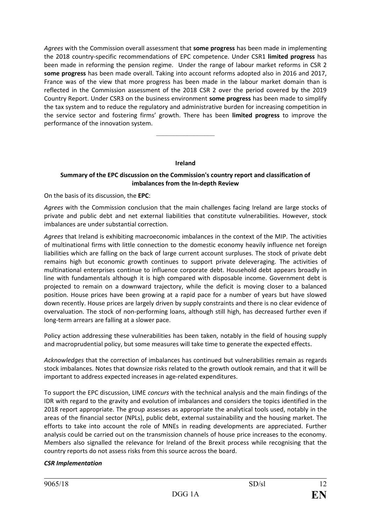*Agrees* with the Commission overall assessment that **some progress** has been made in implementing the 2018 country-specific recommendations of EPC competence. Under CSR1 **limited progress** has been made in reforming the pension regime. Under the range of labour market reforms in CSR 2 **some progress** has been made overall. Taking into account reforms adopted also in 2016 and 2017, France was of the view that more progress has been made in the labour market domain than is reflected in the Commission assessment of the 2018 CSR 2 over the period covered by the 2019 Country Report. Under CSR3 on the business environment **some progress** has been made to simplify the tax system and to reduce the regulatory and administrative burden for increasing competition in the service sector and fostering firms' growth. There has been **limited progress** to improve the performance of the innovation system.

#### **Ireland**

–––––––––––––––––

#### **Summary of the EPC discussion on the Commission's country report and classification of imbalances from the In-depth Review**

On the basis of its discussion, the **EPC**:

*Agrees* with the Commission conclusion that the main challenges facing Ireland are large stocks of private and public debt and net external liabilities that constitute vulnerabilities. However, stock imbalances are under substantial correction.

*Agrees* that Ireland is exhibiting macroeconomic imbalances in the context of the MIP. The activities of multinational firms with little connection to the domestic economy heavily influence net foreign liabilities which are falling on the back of large current account surpluses. The stock of private debt remains high but economic growth continues to support private deleveraging. The activities of multinational enterprises continue to influence corporate debt. Household debt appears broadly in line with fundamentals although it is high compared with disposable income. Government debt is projected to remain on a downward trajectory, while the deficit is moving closer to a balanced position. House prices have been growing at a rapid pace for a number of years but have slowed down recently. House prices are largely driven by supply constraints and there is no clear evidence of overvaluation. The stock of non-performing loans, although still high, has decreased further even if long-term arrears are falling at a slower pace.

Policy action addressing these vulnerabilities has been taken, notably in the field of housing supply and macroprudential policy, but some measures will take time to generate the expected effects.

*Acknowledges* that the correction of imbalances has continued but vulnerabilities remain as regards stock imbalances. Notes that downsize risks related to the growth outlook remain, and that it will be important to address expected increases in age-related expenditures.

To support the EPC discussion, LIME *concurs* with the technical analysis and the main findings of the IDR with regard to the gravity and evolution of imbalances and considers the topics identified in the 2018 report appropriate. The group assesses as appropriate the analytical tools used, notably in the areas of the financial sector (NPLs), public debt, external sustainability and the housing market. The efforts to take into account the role of MNEs in reading developments are appreciated. Further analysis could be carried out on the transmission channels of house price increases to the economy. Members also signalled the relevance for Ireland of the Brexit process while recognising that the country reports do not assess risks from this source across the board.

#### *CSR Implementation*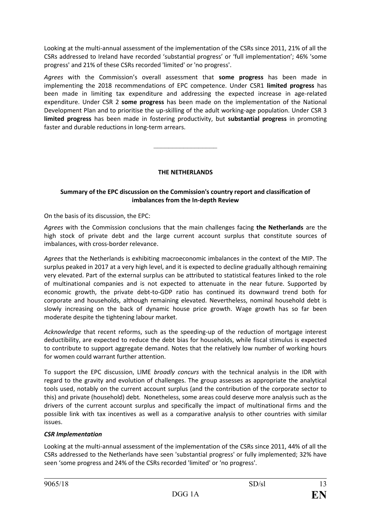Looking at the multi-annual assessment of the implementation of the CSRs since 2011, 21% of all the CSRs addressed to Ireland have recorded 'substantial progress' or 'full implementation'; 46% 'some progress' and 21% of these CSRs recorded 'limited' or 'no progress'.

*Agrees* with the Commission's overall assessment that **some progress** has been made in implementing the 2018 recommendations of EPC competence. Under CSR1 **limited progress** has been made in limiting tax expenditure and addressing the expected increase in age-related expenditure. Under CSR 2 **some progress** has been made on the implementation of the National Development Plan and to prioritise the up-skilling of the adult working-age population. Under CSR 3 **limited progress** has been made in fostering productivity, but **substantial progress** in promoting faster and durable reductions in long-term arrears.

–––––––––––––––––

# **THE NETHERLANDS**

### **Summary of the EPC discussion on the Commission's country report and classification of imbalances from the In-depth Review**

On the basis of its discussion, the EPC:

*Agrees* with the Commission conclusions that the main challenges facing **the Netherlands** are the high stock of private debt and the large current account surplus that constitute sources of imbalances, with cross-border relevance.

*Agrees* that the Netherlands is exhibiting macroeconomic imbalances in the context of the MIP. The surplus peaked in 2017 at a very high level, and it is expected to decline gradually although remaining very elevated. Part of the external surplus can be attributed to statistical features linked to the role of multinational companies and is not expected to attenuate in the near future. Supported by economic growth, the private debt-to-GDP ratio has continued its downward trend both for corporate and households, although remaining elevated. Nevertheless, nominal household debt is slowly increasing on the back of dynamic house price growth. Wage growth has so far been moderate despite the tightening labour market.

*Acknowledge* that recent reforms, such as the speeding-up of the reduction of mortgage interest deductibility, are expected to reduce the debt bias for households, while fiscal stimulus is expected to contribute to support aggregate demand. Notes that the relatively low number of working hours for women could warrant further attention.

To support the EPC discussion, LIME *broadly concurs* with the technical analysis in the IDR with regard to the gravity and evolution of challenges. The group assesses as appropriate the analytical tools used, notably on the current account surplus (and the contribution of the corporate sector to this) and private (household) debt*.* Nonetheless, some areas could deserve more analysis such as the drivers of the current account surplus and specifically the impact of multinational firms and the possible link with tax incentives as well as a comparative analysis to other countries with similar issues.

# *CSR Implementation*

Looking at the multi-annual assessment of the implementation of the CSRs since 2011, 44% of all the CSRs addressed to the Netherlands have seen 'substantial progress' or fully implemented; 32% have seen 'some progress and 24% of the CSRs recorded 'limited' or 'no progress'.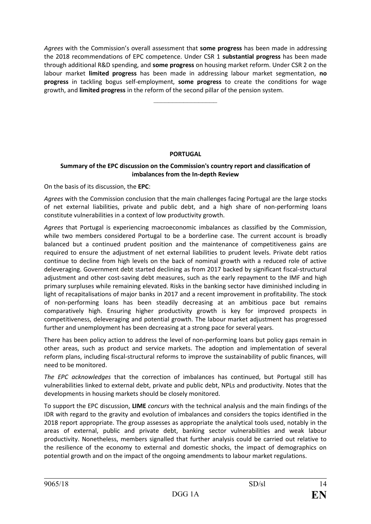*Agrees* with the Commission's overall assessment that **some progress** has been made in addressing the 2018 recommendations of EPC competence. Under CSR 1 **substantial progress** has been made through additional R&D spending, and **some progress** on housing market reform. Under CSR 2 on the labour market **limited progress** has been made in addressing labour market segmentation, **no progress** in tackling bogus self-employment, **some progress** to create the conditions for wage growth, and **limited progress** in the reform of the second pillar of the pension system.

–––––––––––––––––

#### **PORTUGAL**

### **Summary of the EPC discussion on the Commission's country report and classification of imbalances from the In-depth Review**

On the basis of its discussion, the **EPC**:

*Agrees* with the Commission conclusion that the main challenges facing Portugal are the large stocks of net external liabilities, private and public debt, and a high share of non-performing loans constitute vulnerabilities in a context of low productivity growth.

*Agrees* that Portugal is experiencing macroeconomic imbalances as classified by the Commission, while two members considered Portugal to be a borderline case. The current account is broadly balanced but a continued prudent position and the maintenance of competitiveness gains are required to ensure the adjustment of net external liabilities to prudent levels. Private debt ratios continue to decline from high levels on the back of nominal growth with a reduced role of active deleveraging. Government debt started declining as from 2017 backed by significant fiscal-structural adjustment and other cost-saving debt measures, such as the early repayment to the IMF and high primary surpluses while remaining elevated. Risks in the banking sector have diminished including in light of recapitalisations of major banks in 2017 and a recent improvement in profitability. The stock of non-performing loans has been steadily decreasing at an ambitious pace but remains comparatively high. Ensuring higher productivity growth is key for improved prospects in competitiveness, deleveraging and potential growth. The labour market adjustment has progressed further and unemployment has been decreasing at a strong pace for several years.

There has been policy action to address the level of non-performing loans but policy gaps remain in other areas, such as product and service markets. The adoption and implementation of several reform plans, including fiscal-structural reforms to improve the sustainability of public finances, will need to be monitored.

*The EPC acknowledges* that the correction of imbalances has continued, but Portugal still has vulnerabilities linked to external debt, private and public debt, NPLs and productivity. Notes that the developments in housing markets should be closely monitored.

To support the EPC discussion, **LIME** *concurs* with the technical analysis and the main findings of the IDR with regard to the gravity and evolution of imbalances and considers the topics identified in the 2018 report appropriate. The group assesses as appropriate the analytical tools used, notably in the areas of external, public and private debt, banking sector vulnerabilities and weak labour productivity. Nonetheless, members signalled that further analysis could be carried out relative to the resilience of the economy to external and domestic shocks, the impact of demographics on potential growth and on the impact of the ongoing amendments to labour market regulations.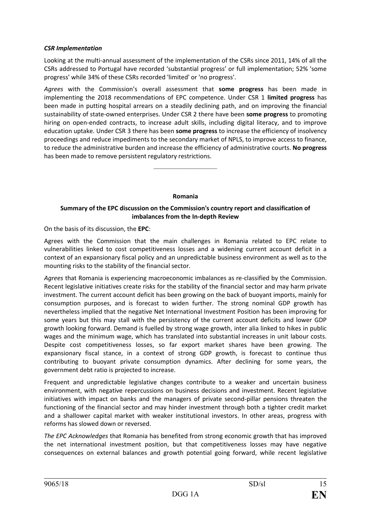### *CSR Implementation*

Looking at the multi-annual assessment of the implementation of the CSRs since 2011, 14% of all the CSRs addressed to Portugal have recorded 'substantial progress' or full implementation; 52% 'some progress' while 34% of these CSRs recorded 'limited' or 'no progress'.

*Agrees* with the Commission's overall assessment that **some progress** has been made in implementing the 2018 recommendations of EPC competence. Under CSR 1 **limited progress** has been made in putting hospital arrears on a steadily declining path, and on improving the financial sustainability of state-owned enterprises. Under CSR 2 there have been **some progress** to promoting hiring on open-ended contracts, to increase adult skills, including digital literacy, and to improve education uptake. Under CSR 3 there has been **some progress** to increase the efficiency of insolvency proceedings and reduce impediments to the secondary market of NPLS, to improve access to finance, to reduce the administrative burden and increase the efficiency of administrative courts. **No progress** has been made to remove persistent regulatory restrictions.

**Romania**

–––––––––––––––––

# **Summary of the EPC discussion on the Commission's country report and classification of imbalances from the In-depth Review**

On the basis of its discussion, the **EPC**:

Agrees with the Commission that the main challenges in Romania related to EPC relate to vulnerabilities linked to cost competitiveness losses and a widening current account deficit in a context of an expansionary fiscal policy and an unpredictable business environment as well as to the mounting risks to the stability of the financial sector.

*Agrees* that Romania is experiencing macroeconomic imbalances as re-classified by the Commission. Recent legislative initiatives create risks for the stability of the financial sector and may harm private investment. The current account deficit has been growing on the back of buoyant imports, mainly for consumption purposes, and is forecast to widen further. The strong nominal GDP growth has nevertheless implied that the negative Net International Investment Position has been improving for some years but this may stall with the persistency of the current account deficits and lower GDP growth looking forward. Demand is fuelled by strong wage growth, inter alia linked to hikes in public wages and the minimum wage, which has translated into substantial increases in unit labour costs. Despite cost competitiveness losses, so far export market shares have been growing. The expansionary fiscal stance, in a context of strong GDP growth, is forecast to continue thus contributing to buoyant private consumption dynamics. After declining for some years, the government debt ratio is projected to increase.

Frequent and unpredictable legislative changes contribute to a weaker and uncertain business environment, with negative repercussions on business decisions and investment. Recent legislative initiatives with impact on banks and the managers of private second-pillar pensions threaten the functioning of the financial sector and may hinder investment through both a tighter credit market and a shallower capital market with weaker institutional investors. In other areas, progress with reforms has slowed down or reversed.

*The EPC Acknowledges* that Romania has benefited from strong economic growth that has improved the net international investment position, but that competitiveness losses may have negative consequences on external balances and growth potential going forward, while recent legislative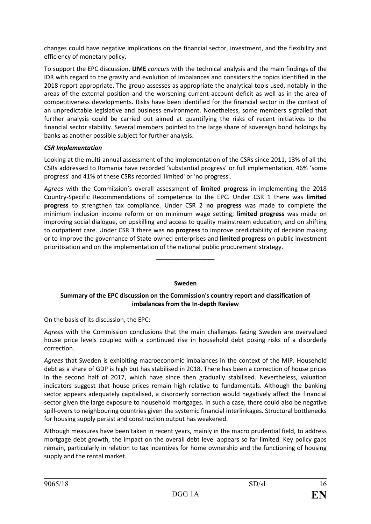changes could have negative implications on the financial sector, investment, and the flexibility and efficiency of monetary policy.

To support the EPC discussion, **LIME** *concurs* with the technical analysis and the main findings of the IDR with regard to the gravity and evolution of imbalances and considers the topics identified in the 2018 report appropriate. The group assesses as appropriate the analytical tools used, notably in the areas of the external position and the worsening current account deficit as well as in the area of competitiveness developments. Risks have been identified for the financial sector in the context of an unpredictable legislative and business environment. Nonetheless, some members signalled that further analysis could be carried out aimed at quantifying the risks of recent initiatives to the financial sector stability. Several members pointed to the large share of sovereign bond holdings by banks as another possible subject for further analysis.

# *CSR Implementation*

Looking at the multi-annual assessment of the implementation of the CSRs since 2011, 13% of all the CSRs addressed to Romania have recorded 'substantial progress' or full implementation, 46% 'some progress' and 41% of these CSRs recorded 'limited' or 'no progress'.

*Agrees* with the Commission's overall assessment of **limited progress** in implementing the 2018 Country-Specific Recommendations of competence to the EPC. Under CSR 1 there was **limited progress** to strengthen tax compliance. Under CSR 2 **no progress** was made to complete the minimum inclusion income reform or on minimum wage setting; **limited progress** was made on improving social dialogue, on upskilling and access to quality mainstream education, and on shifting to outpatient care. Under CSR 3 there was **no progress** to improve predictability of decision making or to improve the governance of State-owned enterprises and **limited progress** on public investment prioritisation and on the implementation of the national public procurement strategy.

#### **Sweden**

–––––––––––––––––

#### **Summary of the EPC discussion on the Commission's country report and classification of imbalances from the In-depth Review**

On the basis of its discussion, the EPC:

*Agrees* with the Commission conclusions that the main challenges facing Sweden are overvalued house price levels coupled with a continued rise in household debt posing risks of a disorderly correction.

*Agrees* that Sweden is exhibiting macroeconomic imbalances in the context of the MIP. Household debt as a share of GDP is high but has stabilised in 2018. There has been a correction of house prices in the second half of 2017, which have since then gradually stabilised. Nevertheless, valuation indicators suggest that house prices remain high relative to fundamentals. Although the banking sector appears adequately capitalised, a disorderly correction would negatively affect the financial sector given the large exposure to household mortgages. In such a case, there could also be negative spill-overs to neighbouring countries given the systemic financial interlinkages. Structural bottlenecks for housing supply persist and construction output has weakened.

Although measures have been taken in recent years, mainly in the macro prudential field, to address mortgage debt growth, the impact on the overall debt level appears so far limited. Key policy gaps remain, particularly in relation to tax incentives for home ownership and the functioning of housing supply and the rental market.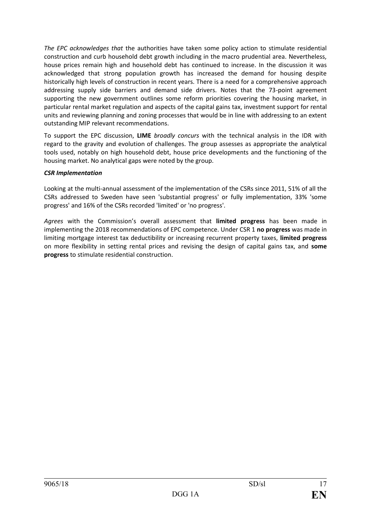*The EPC acknowledges that* the authorities have taken some policy action to stimulate residential construction and curb household debt growth including in the macro prudential area. Nevertheless, house prices remain high and household debt has continued to increase. In the discussion it was acknowledged that strong population growth has increased the demand for housing despite historically high levels of construction in recent years. There is a need for a comprehensive approach addressing supply side barriers and demand side drivers. Notes that the 73-point agreement supporting the new government outlines some reform priorities covering the housing market, in particular rental market regulation and aspects of the capital gains tax, investment support for rental units and reviewing planning and zoning processes that would be in line with addressing to an extent outstanding MIP relevant recommendations.

To support the EPC discussion, **LIME** *broadly concurs* with the technical analysis in the IDR with regard to the gravity and evolution of challenges. The group assesses as appropriate the analytical tools used, notably on high household debt, house price developments and the functioning of the housing market. No analytical gaps were noted by the group.

# *CSR Implementation*

Looking at the multi-annual assessment of the implementation of the CSRs since 2011, 51% of all the CSRs addressed to Sweden have seen 'substantial progress' or fully implementation, 33% 'some progress' and 16% of the CSRs recorded 'limited' or 'no progress'.

*Agrees* with the Commission's overall assessment that **limited progress** has been made in implementing the 2018 recommendations of EPC competence. Under CSR 1 **no progress** was made in limiting mortgage interest tax deductibility or increasing recurrent property taxes, **limited progress**  on more flexibility in setting rental prices and revising the design of capital gains tax, and **some progress** to stimulate residential construction.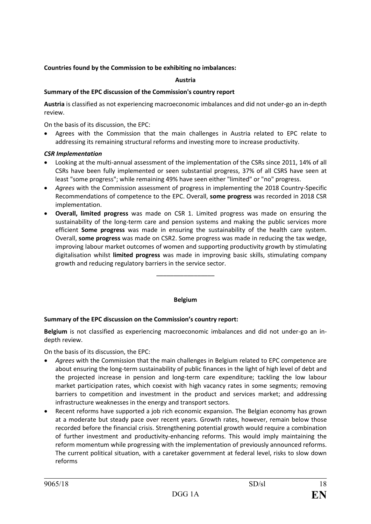# **Countries found by the Commission to be exhibiting no imbalances:**

# **Austria**

# **Summary of the EPC discussion of the Commission's country report**

**Austria** is classified as not experiencing macroeconomic imbalances and did not under-go an in-depth review.

On the basis of its discussion, the EPC:

• Agrees with the Commission that the main challenges in Austria related to EPC relate to addressing its remaining structural reforms and investing more to increase productivity.

# *CSR Implementation*

- Looking at the multi-annual assessment of the implementation of the CSRs since 2011, 14% of all CSRs have been fully implemented or seen substantial progress, 37% of all CSRS have seen at least "some progress"; while remaining 49% have seen either "limited" or "no" progress.
- *Agrees* with the Commission assessment of progress in implementing the 2018 Country-Specific Recommendations of competence to the EPC. Overall, **some progress** was recorded in 2018 CSR implementation.
- **Overall, limited progress** was made on CSR 1. Limited progress was made on ensuring the sustainability of the long-term care and pension systems and making the public services more efficient **Some progress** was made in ensuring the sustainability of the health care system. Overall, **some progress** was made on CSR2. Some progress was made in reducing the tax wedge, improving labour market outcomes of women and supporting productivity growth by stimulating digitalisation whilst **limited progress** was made in improving basic skills, stimulating company growth and reducing regulatory barriers in the service sector.

#### **Belgium**

–––––––––––––––––

#### **Summary of the EPC discussion on the Commission's country report:**

**Belgium** is not classified as experiencing macroeconomic imbalances and did not under-go an indepth review.

On the basis of its discussion, the EPC:

- *Agrees* with the Commission that the main challenges in Belgium related to EPC competence are about ensuring the long-term sustainability of public finances in the light of high level of debt and the projected increase in pension and long-term care expenditure; tackling the low labour market participation rates, which coexist with high vacancy rates in some segments; removing barriers to competition and investment in the product and services market; and addressing infrastructure weaknesses in the energy and transport sectors.
- Recent reforms have supported a job rich economic expansion. The Belgian economy has grown at a moderate but steady pace over recent years. Growth rates, however, remain below those recorded before the financial crisis. Strengthening potential growth would require a combination of further investment and productivity-enhancing reforms. This would imply maintaining the reform momentum while progressing with the implementation of previously announced reforms. The current political situation, with a caretaker government at federal level, risks to slow down reforms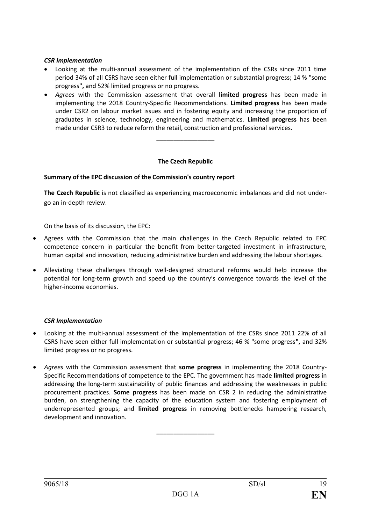#### *CSR Implementation*

- Looking at the multi-annual assessment of the implementation of the CSRs since 2011 time period 34% of all CSRS have seen either full implementation or substantial progress; 14 % "some progress**",** and 52% limited progress or no progress.
- *Agrees* with the Commission assessment that overall **limited progress** has been made in implementing the 2018 Country-Specific Recommendations. **Limited progress** has been made under CSR2 on labour market issues and in fostering equity and increasing the proportion of graduates in science, technology, engineering and mathematics. **Limited progress** has been made under CSR3 to reduce reform the retail, construction and professional services.

#### **The Czech Republic**

–––––––––––––––––

#### **Summary of the EPC discussion of the Commission's country report**

**The Czech Republic** is not classified as experiencing macroeconomic imbalances and did not undergo an in-depth review.

On the basis of its discussion, the EPC:

- Agrees with the Commission that the main challenges in the Czech Republic related to EPC competence concern in particular the benefit from better-targeted investment in infrastructure, human capital and innovation, reducing administrative burden and addressing the labour shortages.
- Alleviating these challenges through well-designed structural reforms would help increase the potential for long-term growth and speed up the country's convergence towards the level of the higher-income economies.

#### *CSR Implementation*

- Looking at the multi-annual assessment of the implementation of the CSRs since 2011 22% of all CSRS have seen either full implementation or substantial progress; 46 % "some progress**",** and 32% limited progress or no progress.
- *Agrees* with the Commission assessment that **some progress** in implementing the 2018 Country-Specific Recommendations of competence to the EPC. The government has made **limited progress** in addressing the long-term sustainability of public finances and addressing the weaknesses in public procurement practices. **Some progress** has been made on CSR 2 in reducing the administrative burden, on strengthening the capacity of the education system and fostering employment of underrepresented groups; and **limited progress** in removing bottlenecks hampering research, development and innovation.

–––––––––––––––––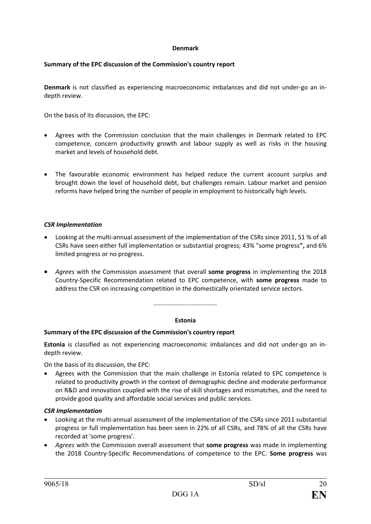#### **Denmark**

#### **Summary of the EPC discussion of the Commission's country report**

**Denmark** is not classified as experiencing macroeconomic imbalances and did not under-go an indepth review.

On the basis of its discussion, the EPC:

- Agrees with the Commission conclusion that the main challenges in Denmark related to EPC competence, concern productivity growth and labour supply as well as risks in the housing market and levels of household debt.
- The favourable economic environment has helped reduce the current account surplus and brought down the level of household debt, but challenges remain. Labour market and pension reforms have helped bring the number of people in employment to historically high levels.

#### *CSR Implementation*

- Looking at the multi-annual assessment of the implementation of the CSRs since 2011, 51 % of all CSRs have seen either full implementation or substantial progress; 43% "some progress**",** and 6% limited progress or no progress.
- *Agrees* with the Commission assessment that overall **some progress** in implementing the 2018 Country-Specific Recommendation related to EPC competence, with **some progress** made to address the CSR on increasing competition in the domestically orientated service sectors.

#### **Estonia**

–––––––––––––––––

#### **Summary of the EPC discussion of the Commission's country report**

**Estonia** is classified as not experiencing macroeconomic imbalances and did not under-go an indepth review.

On the basis of its discussion, the EPC:

• Agrees with the Commission that the main challenge in Estonia related to EPC competence is related to productivity growth in the context of demographic decline and moderate performance on R&D and innovation coupled with the rise of skill shortages and mismatches, and the need to provide good quality and affordable social services and public services.

#### *CSR Implementation*

- Looking at the multi-annual assessment of the implementation of the CSRs since 2011 substantial progress or full implementation has been seen in 22% of all CSRs, and 78% of all the CSRs have recorded at 'some progress'.
- *Agrees* with the Commission overall assessment that **some progress** was made in implementing the 2018 Country-Specific Recommendations of competence to the EPC. **Some progress** was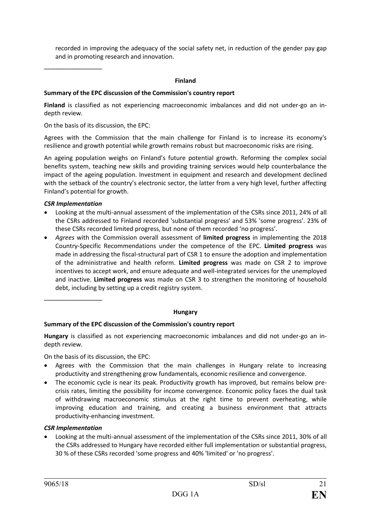recorded in improving the adequacy of the social safety net, in reduction of the gender pay gap and in promoting research and innovation.

#### **Finland**

#### **Summary of the EPC discussion of the Commission's country report**

**Finland** is classified as not experiencing macroeconomic imbalances and did not under-go an indepth review.

On the basis of its discussion, the EPC:

Agrees with the Commission that the main challenge for Finland is to increase its economy's resilience and growth potential while growth remains robust but macroeconomic risks are rising.

An ageing population weighs on Finland's future potential growth. Reforming the complex social benefits system, teaching new skills and providing training services would help counterbalance the impact of the ageing population. Investment in equipment and research and development declined with the setback of the country's electronic sector, the latter from a very high level, further affecting Finland's potential for growth.

#### *CSR Implementation*

–––––––––––––––––

- Looking at the multi-annual assessment of the implementation of the CSRs since 2011, 24% of all the CSRs addressed to Finland recorded 'substantial progress' and 53% 'some progress'. 23% of these CSRs recorded limited progress, but none of them recorded 'no progress'.
- *Agrees* with the Commission overall assessment of **limited progress** in implementing the 2018 Country-Specific Recommendations under the competence of the EPC. **Limited progress** was made in addressing the fiscal-structural part of CSR 1 to ensure the adoption and implementation of the administrative and health reform. **Limited progress** was made on CSR 2 to improve incentives to accept work, and ensure adequate and well-integrated services for the unemployed and inactive. **Limited progress** was made on CSR 3 to strengthen the monitoring of household debt, including by setting up a credit registry system.

–––––––––––––––––

#### **Hungary**

#### **Summary of the EPC discussion of the Commission's country report**

**Hungary** is classified as not experiencing macroeconomic imbalances and did not under-go an indepth review.

On the basis of its discussion, the EPC:

- Agrees with the Commission that the main challenges in Hungary relate to increasing productivity and strengthening grow fundamentals, economic resilience and convergence.
- The economic cycle is near its peak. Productivity growth has improved, but remains below precrisis rates, limiting the possibility for income convergence. Economic policy faces the dual task of withdrawing macroeconomic stimulus at the right time to prevent overheating, while improving education and training, and creating a business environment that attracts productivity-enhancing investment.

#### *CSR Implementation*

• Looking at the multi-annual assessment of the implementation of the CSRs since 2011, 30% of all the CSRs addressed to Hungary have recorded either full implementation or substantial progress, 30 % of these CSRs recorded 'some progress and 40% 'limited' or 'no progress'.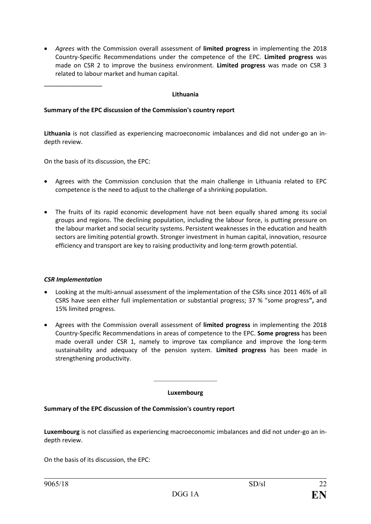• *Agrees* with the Commission overall assessment of **limited progress** in implementing the 2018 Country-Specific Recommendations under the competence of the EPC. **Limited progress** was made on CSR 2 to improve the business environment. **Limited progress** was made on CSR 3 related to labour market and human capital.

#### **Lithuania**

#### **Summary of the EPC discussion of the Commission's country report**

**Lithuania** is not classified as experiencing macroeconomic imbalances and did not under-go an indepth review.

On the basis of its discussion, the EPC:

- Agrees with the Commission conclusion that the main challenge in Lithuania related to EPC competence is the need to adjust to the challenge of a shrinking population.
- The fruits of its rapid economic development have not been equally shared among its social groups and regions. The declining population, including the labour force, is putting pressure on the labour market and social security systems. Persistent weaknesses in the education and health sectors are limiting potential growth. Stronger investment in human capital, innovation, resource efficiency and transport are key to raising productivity and long-term growth potential.

#### *CSR Implementation*

–––––––––––––––––

- Looking at the multi-annual assessment of the implementation of the CSRs since 2011 46% of all CSRS have seen either full implementation or substantial progress; 37 % "some progress**",** and 15% limited progress.
- Agrees with the Commission overall assessment of **limited progress** in implementing the 2018 Country-Specific Recommendations in areas of competence to the EPC. **Some progress** has been made overall under CSR 1, namely to improve tax compliance and improve the long-term sustainability and adequacy of the pension system. **Limited progress** has been made in strengthening productivity.

# ––––––––––––––––– **Luxembourg**

#### **Summary of the EPC discussion of the Commission's country report**

**Luxembourg** is not classified as experiencing macroeconomic imbalances and did not under-go an indepth review.

On the basis of its discussion, the EPC: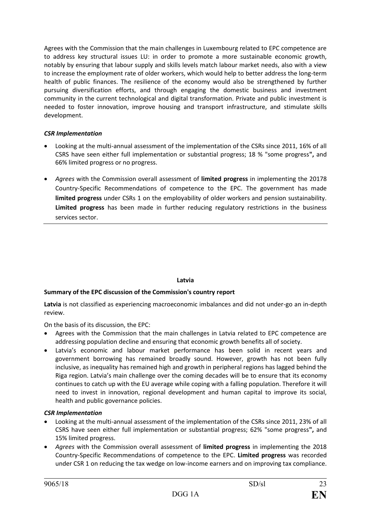Agrees with the Commission that the main challenges in Luxembourg related to EPC competence are to address key structural issues LU: in order to promote a more sustainable economic growth, notably by ensuring that labour supply and skills levels match labour market needs, also with a view to increase the employment rate of older workers, which would help to better address the long-term health of public finances. The resilience of the economy would also be strengthened by further pursuing diversification efforts, and through engaging the domestic business and investment community in the current technological and digital transformation. Private and public investment is needed to foster innovation, improve housing and transport infrastructure, and stimulate skills development.

## *CSR Implementation*

- Looking at the multi-annual assessment of the implementation of the CSRs since 2011, 16% of all CSRS have seen either full implementation or substantial progress; 18 % "some progress**",** and 66% limited progress or no progress.
- *Agrees* with the Commission overall assessment of **limited progress** in implementing the 20178 Country-Specific Recommendations of competence to the EPC. The government has made **limited progress** under CSRs 1 on the employability of older workers and pension sustainability. **Limited progress** has been made in further reducing regulatory restrictions in the business services sector.

#### **Latvia**

#### **Summary of the EPC discussion of the Commission's country report**

**Latvia** is not classified as experiencing macroeconomic imbalances and did not under-go an in-depth review.

On the basis of its discussion, the EPC:

- Agrees with the Commission that the main challenges in Latvia related to EPC competence are addressing population decline and ensuring that economic growth benefits all of society.
- Latvia's economic and labour market performance has been solid in recent years and government borrowing has remained broadly sound. However, growth has not been fully inclusive, as inequality has remained high and growth in peripheral regions has lagged behind the Riga region. Latvia's main challenge over the coming decades will be to ensure that its economy continues to catch up with the EU average while coping with a falling population. Therefore it will need to invest in innovation, regional development and human capital to improve its social, health and public governance policies.

#### *CSR Implementation*

- Looking at the multi-annual assessment of the implementation of the CSRs since 2011, 23% of all CSRS have seen either full implementation or substantial progress; 62% "some progress**",** and 15% limited progress.
- *Agrees* with the Commission overall assessment of **limited progress** in implementing the 2018 Country-Specific Recommendations of competence to the EPC. **Limited progress** was recorded under CSR 1 on reducing the tax wedge on low-income earners and on improving tax compliance.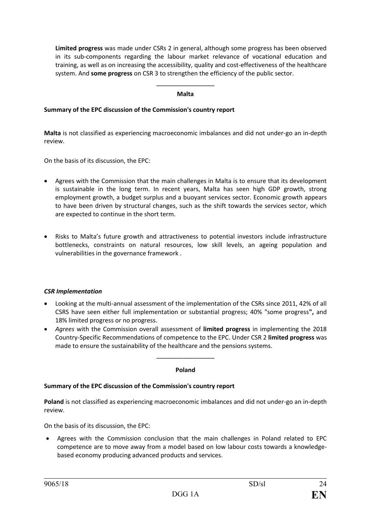**Limited progress** was made under CSRs 2 in general, although some progress has been observed in its sub-components regarding the labour market relevance of vocational education and training, as well as on increasing the accessibility, quality and cost-effectiveness of the healthcare system. And **some progress** on CSR 3 to strengthen the efficiency of the public sector.

#### ––––––––––––––––– **Malta**

### **Summary of the EPC discussion of the Commission's country report**

**Malta** is not classified as experiencing macroeconomic imbalances and did not under-go an in-depth review.

On the basis of its discussion, the EPC:

- Agrees with the Commission that the main challenges in Malta is to ensure that its development is sustainable in the long term. In recent years, Malta has seen high GDP growth, strong employment growth, a budget surplus and a buoyant services sector. Economic growth appears to have been driven by structural changes, such as the shift towards the services sector, which are expected to continue in the short term.
- Risks to Malta's future growth and attractiveness to potential investors include infrastructure bottlenecks, constraints on natural resources, low skill levels, an ageing population and vulnerabilities in the governance framework .

#### *CSR Implementation*

- Looking at the multi-annual assessment of the implementation of the CSRs since 2011, 42% of all CSRS have seen either full implementation or substantial progress; 40% "some progress**",** and 18% limited progress or no progress.
- *Agrees* with the Commission overall assessment of **limited progress** in implementing the 2018 Country-Specific Recommendations of competence to the EPC. Under CSR 2 **limited progress** was made to ensure the sustainability of the healthcare and the pensions systems.

# ––––––––––––––––– **Poland**

#### **Summary of the EPC discussion of the Commission's country report**

**Poland** is not classified as experiencing macroeconomic imbalances and did not under-go an in-depth review.

On the basis of its discussion, the EPC:

• Agrees with the Commission conclusion that the main challenges in Poland related to EPC competence are to move away from a model based on low labour costs towards a knowledgebased economy producing advanced products and services.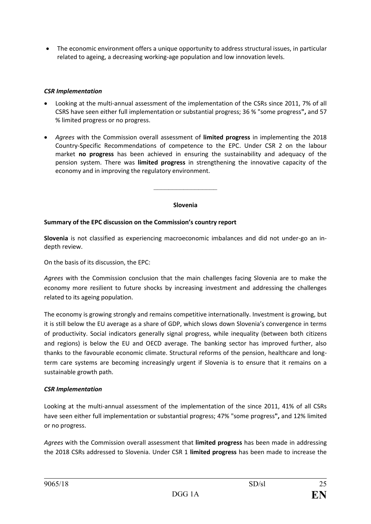• The economic environment offers a unique opportunity to address structural issues, in particular related to ageing, a decreasing working-age population and low innovation levels.

# *CSR Implementation*

- Looking at the multi-annual assessment of the implementation of the CSRs since 2011, 7% of all CSRS have seen either full implementation or substantial progress; 36 % "some progress**",** and 57 % limited progress or no progress.
- *Agrees* with the Commission overall assessment of **limited progress** in implementing the 2018 Country-Specific Recommendations of competence to the EPC. Under CSR 2 on the labour market **no progress** has been achieved in ensuring the sustainability and adequacy of the pension system. There was **limited progress** in strengthening the innovative capacity of the economy and in improving the regulatory environment.

#### **Slovenia**

 $-\frac{1}{2}$ 

# **Summary of the EPC discussion on the Commission's country report**

**Slovenia** is not classified as experiencing macroeconomic imbalances and did not under-go an indepth review.

On the basis of its discussion, the EPC:

*Agrees* with the Commission conclusion that the main challenges facing Slovenia are to make the economy more resilient to future shocks by increasing investment and addressing the challenges related to its ageing population.

The economy is growing strongly and remains competitive internationally. Investment is growing, but it is still below the EU average as a share of GDP, which slows down Slovenia's convergence in terms of productivity. Social indicators generally signal progress, while inequality (between both citizens and regions) is below the EU and OECD average. The banking sector has improved further, also thanks to the favourable economic climate. Structural reforms of the pension, healthcare and longterm care systems are becoming increasingly urgent if Slovenia is to ensure that it remains on a sustainable growth path.

#### *CSR Implementation*

Looking at the multi-annual assessment of the implementation of the since 2011, 41% of all CSRs have seen either full implementation or substantial progress; 47% "some progress**",** and 12% limited or no progress.

*Agrees* with the Commission overall assessment that **limited progress** has been made in addressing the 2018 CSRs addressed to Slovenia. Under CSR 1 **limited progress** has been made to increase the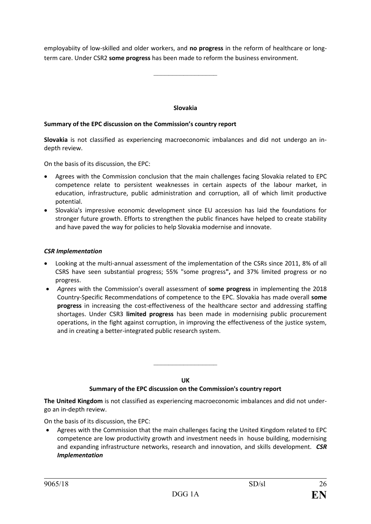employabiity of low-skilled and older workers, and **no progress** in the reform of healthcare or longterm care. Under CSR2 **some progress** has been made to reform the business environment.

–––––––––––––––––

#### **Slovakia**

#### **Summary of the EPC discussion on the Commission's country report**

**Slovakia** is not classified as experiencing macroeconomic imbalances and did not undergo an indepth review.

On the basis of its discussion, the EPC:

- Agrees with the Commission conclusion that the main challenges facing Slovakia related to EPC competence relate to persistent weaknesses in certain aspects of the labour market, in education, infrastructure, public administration and corruption, all of which limit productive potential.
- Slovakia's impressive economic development since EU accession has laid the foundations for stronger future growth. Efforts to strengthen the public finances have helped to create stability and have paved the way for policies to help Slovakia modernise and innovate.

#### *CSR Implementation*

- Looking at the multi-annual assessment of the implementation of the CSRs since 2011, 8% of all CSRS have seen substantial progress; 55% "some progress**",** and 37% limited progress or no progress.
- *Agrees* with the Commission's overall assessment of **some progress** in implementing the 2018 Country-Specific Recommendations of competence to the EPC. Slovakia has made overall **some progress** in increasing the cost-effectiveness of the healthcare sector and addressing staffing shortages. Under CSR3 **limited progress** has been made in modernising public procurement operations, in the fight against corruption, in improving the effectiveness of the justice system, and in creating a better-integrated public research system.

**UK** 

–––––––––––––––––

#### **Summary of the EPC discussion on the Commission's country report**

**The United Kingdom** is not classified as experiencing macroeconomic imbalances and did not undergo an in-depth review.

On the basis of its discussion, the EPC:

• Agrees with the Commission that the main challenges facing the United Kingdom related to EPC competence are low productivity growth and investment needs in house building, modernising and expanding infrastructure networks, research and innovation, and skills development. *CSR Implementation*